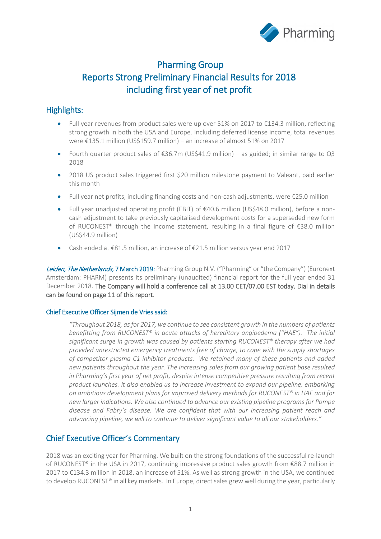

# Pharming Group Reports Strong Preliminary Financial Results for 2018 including first year of net profit

# Highlights:

- Full year revenues from product sales were up over 51% on 2017 to €134.3 million, reflecting strong growth in both the USA and Europe. Including deferred license income, total revenues were €135.1 million (US\$159.7 million) – an increase of almost 51% on 2017
- Fourth quarter product sales of  $\epsilon$ 36.7m (US\$41.9 million) as guided; in similar range to Q3 2018
- 2018 US product sales triggered first \$20 million milestone payment to Valeant, paid earlier this month
- Full year net profits, including financing costs and non-cash adjustments, were €25.0 million
- Full year unadjusted operating profit (EBIT) of €40.6 million (US\$48.0 million), before a noncash adjustment to take previously capitalised development costs for a superseded new form of RUCONEST® through the income statement, resulting in a final figure of €38.0 million (US\$44.9 million)
- Cash ended at €81.5 million, an increase of €21.5 million versus year end 2017

Leiden, The Netherlands, 7 March 2019: Pharming Group N.V. ("Pharming" or "the Company") (Euronext Amsterdam: PHARM) presents its preliminary (unaudited) financial report for the full year ended 31 December 2018. The Company will hold a conference call at 13.00 CET/07.00 EST today. Dial in details can be found on page 11 of this report.

### Chief Executive Officer Sijmen de Vries said:

*"Throughout 2018, as for 2017, we continue to see consistent growth in the numbers of patients benefitting from RUCONEST® in acute attacks of hereditary angioedema ("HAE"). The initial significant surge in growth was caused by patients starting RUCONEST® therapy after we had provided unrestricted emergency treatments free of charge, to cope with the supply shortages of competitor plasma C1 inhibitor products. We retained many of these patients and added new patients throughout the year. The increasing sales from our growing patient base resulted in Pharming's first year of net profit, despite intense competitive pressure resulting from recent product launches. It also enabled us to increase investment to expand our pipeline, embarking on ambitious development plans for improved delivery methods for RUCONEST® in HAE and for new larger indications. We also continued to advance our existing pipeline programs for Pompe disease and Fabry's disease. We are confident that with our increasing patient reach and advancing pipeline, we will to continue to deliver significant value to all our stakeholders."*

## Chief Executive Officer's Commentary

2018 was an exciting year for Pharming. We built on the strong foundations of the successful re-launch of RUCONEST® in the USA in 2017, continuing impressive product sales growth from €88.7 million in 2017 to €134.3 million in 2018, an increase of 51%. As well as strong growth in the USA, we continued to develop RUCONEST® in all key markets. In Europe, direct sales grew well during the year, particularly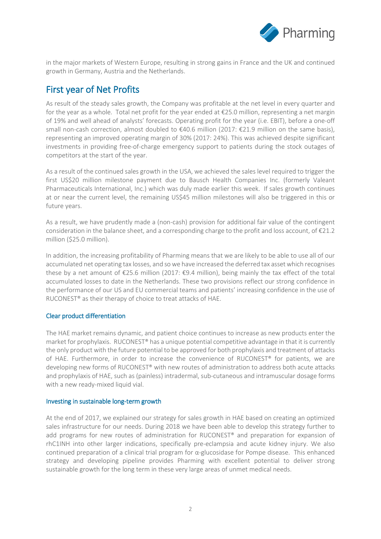

in the major markets of Western Europe, resulting in strong gains in France and the UK and continued growth in Germany, Austria and the Netherlands.

# First year of Net Profits

As result of the steady sales growth, the Company was profitable at the net level in every quarter and for the year as a whole. Total net profit for the year ended at €25.0 million, representing a net margin of 19% and well ahead of analysts' forecasts. Operating profit for the year (i.e. EBIT), before a one-off small non-cash correction, almost doubled to €40.6 million (2017: €21.9 million on the same basis), representing an improved operating margin of 30% (2017: 24%). This was achieved despite significant investments in providing free-of-charge emergency support to patients during the stock outages of competitors at the start of the year.

As a result of the continued sales growth in the USA, we achieved the sales level required to trigger the first US\$20 million milestone payment due to Bausch Health Companies Inc. (formerly Valeant Pharmaceuticals International, Inc.) which was duly made earlier this week. If sales growth continues at or near the current level, the remaining US\$45 million milestones will also be triggered in this or future years.

As a result, we have prudently made a (non-cash) provision for additional fair value of the contingent consideration in the balance sheet, and a corresponding charge to the profit and loss account, of €21.2 million (\$25.0 million).

In addition, the increasing profitability of Pharming means that we are likely to be able to use all of our accumulated net operating tax losses, and so we have increased the deferred tax asset which recognises these by a net amount of  $\epsilon$ 25.6 million (2017:  $\epsilon$ 9.4 million), being mainly the tax effect of the total accumulated losses to date in the Netherlands. These two provisions reflect our strong confidence in the performance of our US and EU commercial teams and patients' increasing confidence in the use of RUCONEST® as their therapy of choice to treat attacks of HAE.

### Clear product differentiation

The HAE market remains dynamic, and patient choice continues to increase as new products enter the market for prophylaxis. RUCONEST® has a unique potential competitive advantage in that it is currently the only product with the future potential to be approved for both prophylaxis and treatment of attacks of HAE. Furthermore, in order to increase the convenience of RUCONEST® for patients, we are developing new forms of RUCONEST® with new routes of administration to address both acute attacks and prophylaxis of HAE, such as (painless) intradermal, sub-cutaneous and intramuscular dosage forms with a new ready-mixed liquid vial.

#### Investing in sustainable long-term growth

At the end of 2017, we explained our strategy for sales growth in HAE based on creating an optimized sales infrastructure for our needs. During 2018 we have been able to develop this strategy further to add programs for new routes of administration for RUCONEST® and preparation for expansion of rhC1INH into other larger indications, specifically pre-eclampsia and acute kidney injury. We also continued preparation of a clinical trial program for α-glucosidase for Pompe disease. This enhanced strategy and developing pipeline provides Pharming with excellent potential to deliver strong sustainable growth for the long term in these very large areas of unmet medical needs.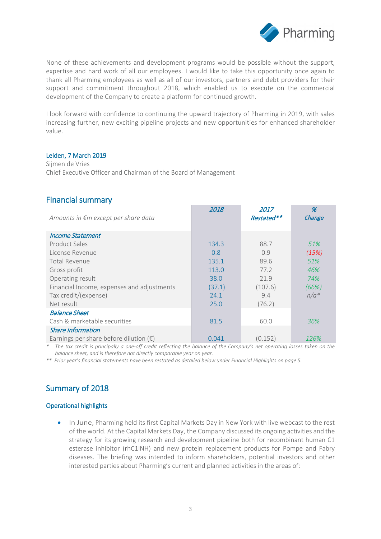

None of these achievements and development programs would be possible without the support, expertise and hard work of all our employees. I would like to take this opportunity once again to thank all Pharming employees as well as all of our investors, partners and debt providers for their support and commitment throughout 2018, which enabled us to execute on the commercial development of the Company to create a platform for continued growth.

I look forward with confidence to continuing the upward trajectory of Pharming in 2019, with sales increasing further, new exciting pipeline projects and new opportunities for enhanced shareholder value.

#### Leiden, 7 March 2019

Sijmen de Vries Chief Executive Officer and Chairman of the Board of Management

### Financial summary

| Amounts in €m except per share data             | 2018   | <i>2017</i><br>Restated** | %<br>Change |
|-------------------------------------------------|--------|---------------------------|-------------|
| <b>Income Statement</b>                         |        |                           |             |
| Product Sales                                   | 134.3  | 88.7                      | 51%         |
| License Revenue                                 | 0.8    | 0.9                       | (15%)       |
| Total Revenue                                   | 135.1  | 89.6                      | 51%         |
| Gross profit                                    | 113.0  | 77.2                      | 46%         |
| Operating result                                | 38.0   | 21.9                      | 74%         |
| Financial Income, expenses and adjustments      | (37.1) | (107.6)                   | (66%)       |
| Tax credit/(expense)                            | 24.1   | 9.4                       | $n/a*$      |
| Net result                                      | 25.0   | (76.2)                    |             |
| <b>Balance Sheet</b>                            |        |                           |             |
| Cash & marketable securities                    | 81.5   | 60.0                      | 36%         |
| <b>Share Information</b>                        |        |                           |             |
| Earnings per share before dilution $(\epsilon)$ | 0.041  | (0.152)                   | 126%        |

*\* The tax credit is principally a one-off credit reflecting the balance of the Company's net operating losses taken on the balance sheet, and is therefore not directly comparable year on year.*

*\*\* Prior year's financial statements have been restated as detailed below under Financial Highlights on page 5.*

## Summary of 2018

### Operational highlights

• In June, Pharming held its first Capital Markets Day in New York with live webcast to the rest of the world. At the Capital Markets Day, the Company discussed its ongoing activities and the strategy for its growing research and development pipeline both for recombinant human C1 esterase inhibitor (rhC1INH) and new protein replacement products for Pompe and Fabry diseases. The briefing was intended to inform shareholders, potential investors and other interested parties about Pharming's current and planned activities in the areas of: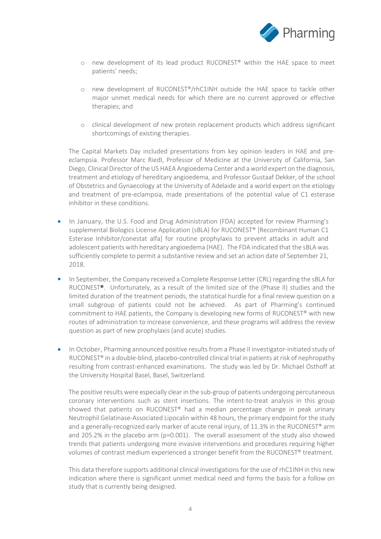

- o new development of its lead product RUCONEST® within the HAE space to meet patients' needs;
- o new development of RUCONEST®/rhC1INH outside the HAE space to tackle other major unmet medical needs for which there are no current approved or effective therapies; and
- o clinical development of new protein replacement products which address significant shortcomings of existing therapies.

The Capital Markets Day included presentations from key opinion leaders in HAE and preeclampsia. Professor Marc Riedl, Professor of Medicine at the University of California, San Diego, Clinical Director of the US HAEA Angioedema Center and a world expert on the diagnosis, treatment and etiology of hereditary angioedema, and Professor Gustaaf Dekker, of the school of Obstetrics and Gynaecology at the University of Adelaide and a world expert on the etiology and treatment of pre-eclampsia, made presentations of the potential value of C1 esterase inhibitor in these conditions.

- In January, the U.S. Food and Drug Administration (FDA) accepted for review Pharming's supplemental Biologics License Application (sBLA) for RUCONEST® [Recombinant Human C1 Esterase Inhibitor/conestat alfa] for routine prophylaxis to prevent attacks in adult and adolescent patients with hereditary angioedema (HAE). The FDA indicated that the sBLA was sufficiently complete to permit a substantive review and set an action date of September 21, 2018.
- In September, the Company received a Complete Response Letter (CRL) regarding the sBLA for RUCONEST®. Unfortunately, as a result of the limited size of the (Phase II) studies and the limited duration of the treatment periods, the statistical hurdle for a final review question on a small subgroup of patients could not be achieved. As part of Pharming's continued commitment to HAE patients, the Company is developing new forms of RUCONEST® with new routes of administration to increase convenience, and these programs will address the review question as part of new prophylaxis (and acute) studies.
- In October, Pharming announced positive results from a Phase II investigator-initiated study of RUCONEST<sup>®</sup> in a double-blind, placebo-controlled clinical trial in patients at risk of nephropathy resulting from contrast-enhanced examinations. The study was led by Dr. Michael Osthoff at the University Hospital Basel, Basel, Switzerland.

The positive results were especially clear in the sub-group of patients undergoing percutaneous coronary interventions such as stent insertions. The intent-to-treat analysis in this group showed that patients on RUCONEST® had a median percentage change in peak urinary Neutrophil Gelatinase-Associated Lipocalin within 48 hours, the primary endpoint for the study and a generally-recognized early marker of acute renal injury, of  $11.3\%$  in the RUCONEST® arm and 205.2% in the placebo arm (p=0.001). The overall assessment of the study also showed trends that patients undergoing more invasive interventions and procedures requiring higher volumes of contrast medium experienced a stronger benefit from the RUCONEST® treatment.

This data therefore supports additional clinical investigations for the use of rhC1INH in this new indication where there is significant unmet medical need and forms the basis for a follow on study that is currently being designed.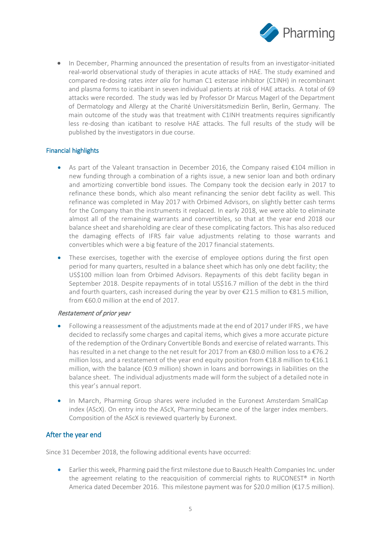

• In December, Pharming announced the presentation of results from an investigator-initiated real-world observational study of therapies in acute attacks of HAE. The study examined and compared re-dosing rates *inter alia* for human C1 esterase inhibitor (C1INH) in recombinant and plasma forms to icatibant in seven individual patients at risk of HAE attacks. A total of 69 attacks were recorded. The study was led by Professor Dr Marcus Magerl of the [Department](https://derma.charite.de/en/)  [of Dermatology and Allergy](https://derma.charite.de/en/) at the Charité Universitätsmedizin Berlin, Berlin, Germany. The main outcome of the study was that treatment with C1INH treatments requires significantly less re-dosing than icatibant to resolve HAE attacks. The full results of the study will be published by the investigators in due course.

#### Financial highlights

- As part of the Valeant transaction in December 2016, the Company raised €104 million in new funding through a combination of a rights issue, a new senior loan and both ordinary and amortizing convertible bond issues. The Company took the decision early in 2017 to refinance these bonds, which also meant refinancing the senior debt facility as well. This refinance was completed in May 2017 with Orbimed Advisors, on slightly better cash terms for the Company than the instruments it replaced. In early 2018, we were able to eliminate almost all of the remaining warrants and convertibles, so that at the year end 2018 our balance sheet and shareholding are clear of these complicating factors. This has also reduced the damaging effects of IFRS fair value adjustments relating to those warrants and convertibles which were a big feature of the 2017 financial statements.
- These exercises, together with the exercise of employee options during the first open period for many quarters, resulted in a balance sheet which has only one debt facility; the US\$100 million loan from Orbimed Advisors. Repayments of this debt facility began in September 2018. Despite repayments of in total US\$16.7 million of the debt in the third and fourth quarters, cash increased during the year by over €21.5 million to €81.5 million, from €60.0 million at the end of 2017.

#### Restatement of prior year

- Following a reassessment of the adjustments made at the end of 2017 under IFRS, we have decided to reclassify some charges and capital items, which gives a more accurate picture of the redemption of the Ordinary Convertible Bonds and exercise of related warrants. This has resulted in a net change to the net result for 2017 from an €80.0 million loss to a €76.2 million loss, and a restatement of the year end equity position from €18.8 million to €16.1 million, with the balance (€0.9 million) shown in loans and borrowings in liabilities on the balance sheet. The individual adjustments made will form the subject of a detailed note in this year's annual report.
- In March, Pharming Group shares were included in the Euronext Amsterdam SmallCap index (AScX). On entry into the AScX, Pharming became one of the larger index members. Composition of the AScX is reviewed quarterly by Euronext.

### After the year end

Since 31 December 2018, the following additional events have occurred:

• Earlier this week, Pharming paid the first milestone due to Bausch Health Companies Inc. under the agreement relating to the reacquisition of commercial rights to RUCONEST® in North America dated December 2016. This milestone payment was for \$20.0 million ( $\epsilon$ 17.5 million).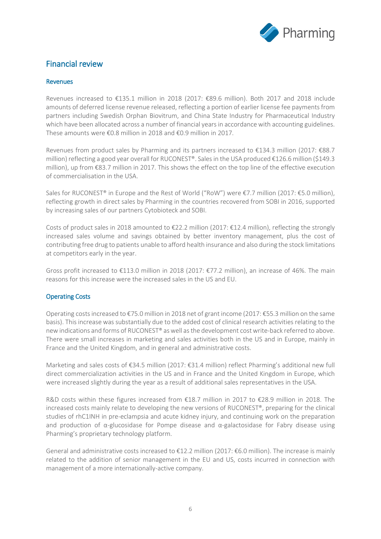

# Financial review

#### Revenues

Revenues increased to €135.1 million in 2018 (2017: €89.6 million). Both 2017 and 2018 include amounts of deferred license revenue released, reflecting a portion of earlier license fee payments from partners including Swedish Orphan Biovitrum, and China State Industry for Pharmaceutical Industry which have been allocated across a number of financial years in accordance with accounting guidelines. These amounts were €0.8 million in 2018 and €0.9 million in 2017.

Revenues from product sales by Pharming and its partners increased to €134.3 million (2017: €88.7 million) reflecting a good year overall for RUCONEST®. Sales in the USA produced €126.6 million (\$149.3 million), up from €83.7 million in 2017. This shows the effect on the top line of the effective execution of commercialisation in the USA.

Sales for RUCONEST® in Europe and the Rest of World ("RoW") were €7.7 million (2017: €5.0 million), reflecting growth in direct sales by Pharming in the countries recovered from SOBI in 2016, supported by increasing sales of our partners Cytobioteck and SOBI.

Costs of product sales in 2018 amounted to €22.2 million (2017: €12.4 million), reflecting the strongly increased sales volume and savings obtained by better inventory management, plus the cost of contributing free drug to patients unable to afford health insurance and also during the stock limitations at competitors early in the year.

Gross profit increased to €113.0 million in 2018 (2017: €77.2 million), an increase of 46%. The main reasons for this increase were the increased sales in the US and EU.

### Operating Costs

Operating costs increased to €75.0 million in 2018 net of grant income (2017: €55.3 million on the same basis). This increase was substantially due to the added cost of clinical research activities relating to the new indications and forms of RUCONEST® as well as the development cost write-back referred to above. There were small increases in marketing and sales activities both in the US and in Europe, mainly in France and the United Kingdom, and in general and administrative costs.

Marketing and sales costs of €34.5 million (2017: €31.4 million) reflect Pharming's additional new full direct commercialization activities in the US and in France and the United Kingdom in Europe, which were increased slightly during the year as a result of additional sales representatives in the USA.

R&D costs within these figures increased from €18.7 million in 2017 to €28.9 million in 2018. The increased costs mainly relate to developing the new versions of RUCONEST®, preparing for the clinical studies of rhC1INH in pre-eclampsia and acute kidney injury, and continuing work on the preparation and production of  $\alpha$ -glucosidase for Pompe disease and  $\alpha$ -galactosidase for Fabry disease using Pharming's proprietary technology platform.

General and administrative costs increased to €12.2 million (2017: €6.0 million). The increase is mainly related to the addition of senior management in the EU and US, costs incurred in connection with management of a more internationally-active company.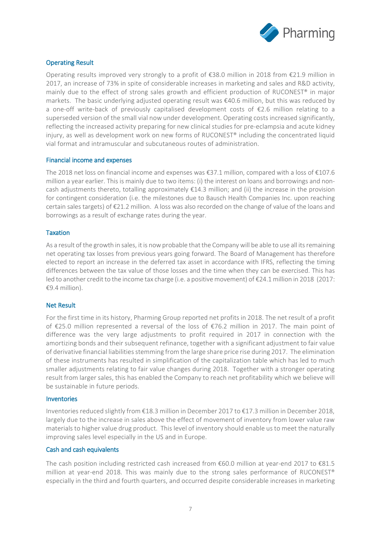

### Operating Result

Operating results improved very strongly to a profit of  $\epsilon$ 38.0 million in 2018 from  $\epsilon$ 21.9 million in 2017, an increase of 73% in spite of considerable increases in marketing and sales and R&D activity, mainly due to the effect of strong sales growth and efficient production of RUCONEST® in major markets. The basic underlying adjusted operating result was €40.6 million, but this was reduced by a one-off write-back of previously capitalised development costs of €2.6 million relating to a superseded version of the small vial now under development. Operating costs increased significantly, reflecting the increased activity preparing for new clinical studies for pre-eclampsia and acute kidney injury, as well as development work on new forms of RUCONEST® including the concentrated liquid vial format and intramuscular and subcutaneous routes of administration.

#### Financial income and expenses

The 2018 net loss on financial income and expenses was €37.1 million, compared with a loss of €107.6 million a year earlier. This is mainly due to two items: (i) the interest on loans and borrowings and noncash adjustments thereto, totalling approximately €14.3 million; and (ii) the increase in the provision for contingent consideration (i.e. the milestones due to Bausch Health Companies Inc. upon reaching certain sales targets) of €21.2 million. A loss was also recorded on the change of value of the loans and borrowings as a result of exchange rates during the year.

#### **Taxation**

As a result of the growth in sales, it is now probable that the Company will be able to use all its remaining net operating tax losses from previous years going forward. The Board of Management has therefore elected to report an increase in the deferred tax asset in accordance with IFRS, reflecting the timing differences between the tax value of those losses and the time when they can be exercised. This has led to another credit to the income tax charge (i.e. a positive movement) of €24.1 million in 2018 (2017: €9.4 million).

#### Net Result

For the first time in its history, Pharming Group reported net profits in 2018. The net result of a profit of €25.0 million represented a reversal of the loss of €76.2 million in 2017. The main point of difference was the very large adjustments to profit required in 2017 in connection with the amortizing bonds and their subsequent refinance, together with a significant adjustment to fair value of derivative financial liabilities stemming from the large share price rise during 2017. The elimination of these instruments has resulted in simplification of the capitalization table which has led to much smaller adjustments relating to fair value changes during 2018. Together with a stronger operating result from larger sales, this has enabled the Company to reach net profitability which we believe will be sustainable in future periods.

#### Inventories

Inventories reduced slightly from €18.3 million in December 2017 to €17.3 million in December 2018, largely due to the increase in sales above the effect of movement of inventory from lower value raw materials to higher value drug product. This level of inventory should enable us to meet the naturally improving sales level especially in the US and in Europe.

#### Cash and cash equivalents

The cash position including restricted cash increased from €60.0 million at year-end 2017 to €81.5 million at year-end 2018. This was mainly due to the strong sales performance of RUCONEST® especially in the third and fourth quarters, and occurred despite considerable increases in marketing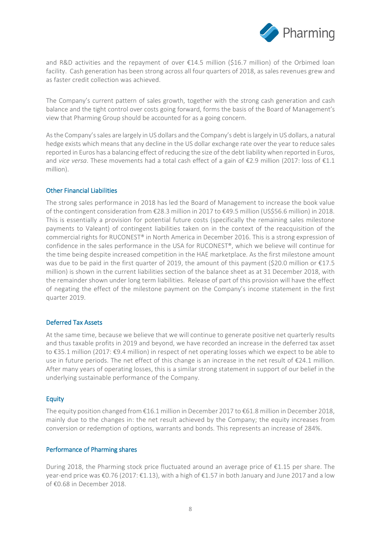

and R&D activities and the repayment of over €14.5 million (\$16.7 million) of the Orbimed loan facility. Cash generation has been strong across all four quarters of 2018, as sales revenues grew and as faster credit collection was achieved.

The Company's current pattern of sales growth, together with the strong cash generation and cash balance and the tight control over costs going forward, forms the basis of the Board of Management's view that Pharming Group should be accounted for as a going concern.

As the Company's sales are largely in US dollars and the Company's debt is largely in US dollars, a natural hedge exists which means that any decline in the US dollar exchange rate over the year to reduce sales reported in Euros has a balancing effect of reducing the size of the debt liability when reported in Euros, and *vice versa*. These movements had a total cash effect of a gain of €2.9 million (2017: loss of €1.1 million).

#### Other Financial Liabilities

The strong sales performance in 2018 has led the Board of Management to increase the book value of the contingent consideration from €28.3 million in 2017 to €49.5 million (US\$56.6 million) in 2018. This is essentially a provision for potential future costs (specifically the remaining sales milestone payments to Valeant) of contingent liabilities taken on in the context of the reacquisition of the commercial rights for RUCONEST® in North America in December 2016. This is a strong expression of confidence in the sales performance in the USA for RUCONEST®, which we believe will continue for the time being despite increased competition in the HAE marketplace. As the first milestone amount was due to be paid in the first quarter of 2019, the amount of this payment (\$20.0 million or €17.5 million) is shown in the current liabilities section of the balance sheet as at 31 December 2018, with the remainder shown under long term liabilities. Release of part of this provision will have the effect of negating the effect of the milestone payment on the Company's income statement in the first quarter 2019.

#### Deferred Tax Assets

At the same time, because we believe that we will continue to generate positive net quarterly results and thus taxable profits in 2019 and beyond, we have recorded an increase in the deferred tax asset to €35.1 million (2017: €9.4 million) in respect of net operating losses which we expect to be able to use in future periods. The net effect of this change is an increase in the net result of €24.1 million. After many years of operating losses, this is a similar strong statement in support of our belief in the underlying sustainable performance of the Company.

#### Equity

The equity position changed from €16.1 million in December 2017 to €61.8 million in December 2018, mainly due to the changes in: the net result achieved by the Company; the equity increases from conversion or redemption of options, warrants and bonds. This represents an increase of 284%.

#### Performance of Pharming shares

During 2018, the Pharming stock price fluctuated around an average price of €1.15 per share. The year-end price was €0.76 (2017: €1.13), with a high of €1.57 in both January and June 2017 and a low of €0.68 in December 2018.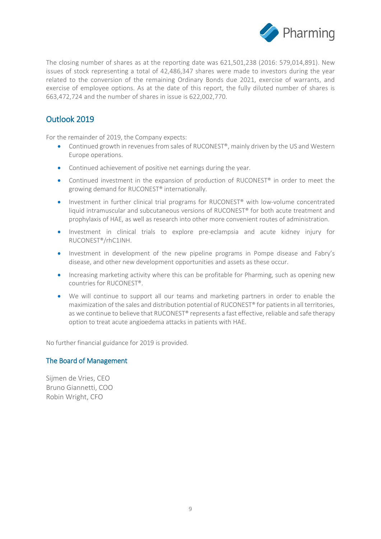

The closing number of shares as at the reporting date was 621,501,238 (2016: 579,014,891). New issues of stock representing a total of 42,486,347 shares were made to investors during the year related to the conversion of the remaining Ordinary Bonds due 2021, exercise of warrants, and exercise of employee options. As at the date of this report, the fully diluted number of shares is 663,472,724 and the number of shares in issue is 622,002,770.

# Outlook 2019

For the remainder of 2019, the Company expects:

- Continued growth in revenues from sales of RUCONEST®, mainly driven by the US and Western Europe operations.
- Continued achievement of positive net earnings during the year.
- Continued investment in the expansion of production of RUCONEST<sup>®</sup> in order to meet the growing demand for RUCONEST® internationally.
- Investment in further clinical trial programs for RUCONEST® with low-volume concentrated liquid intramuscular and subcutaneous versions of RUCONEST® for both acute treatment and prophylaxis of HAE, as well as research into other more convenient routes of administration.
- Investment in clinical trials to explore pre-eclampsia and acute kidney injury for RUCONEST®/rhC1INH.
- Investment in development of the new pipeline programs in Pompe disease and Fabry's disease, and other new development opportunities and assets as these occur.
- Increasing marketing activity where this can be profitable for Pharming, such as opening new countries for RUCONEST®.
- We will continue to support all our teams and marketing partners in order to enable the maximization of the sales and distribution potential of RUCONEST® for patients in all territories, as we continue to believe that RUCONEST® represents a fast effective, reliable and safe therapy option to treat acute angioedema attacks in patients with HAE.

No further financial guidance for 2019 is provided.

### The Board of Management

Sijmen de Vries, CEO Bruno Giannetti, COO Robin Wright, CFO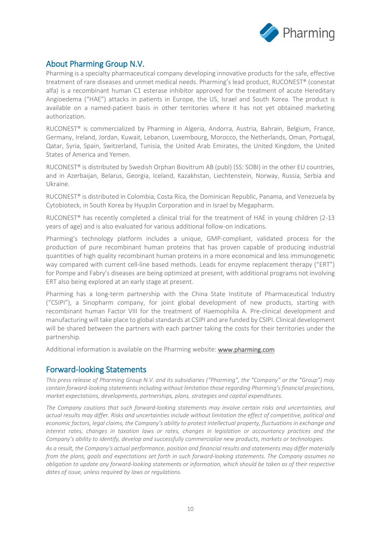

# About Pharming Group N.V.

Pharming is a specialty pharmaceutical company developing innovative products for the safe, effective treatment of rare diseases and unmet medical needs. Pharming's lead product, RUCONEST® (conestat alfa) is a recombinant human C1 esterase inhibitor approved for the treatment of acute Hereditary Angioedema ("HAE") attacks in patients in Europe, the US, Israel and South Korea. The product is available on a named-patient basis in other territories where it has not yet obtained marketing authorization.

RUCONEST® is commercialized by Pharming in Algeria, Andorra, Austria, Bahrain, Belgium, France, Germany, Ireland, Jordan, Kuwait, Lebanon, Luxembourg, Morocco, the Netherlands, Oman, Portugal, Qatar, Syria, Spain, Switzerland, Tunisia, the United Arab Emirates, the United Kingdom, the United States of America and Yemen.

RUCONEST<sup>®</sup> is distributed by Swedish Orphan Biovitrum AB (publ) (SS: SOBI) in the other EU countries, and in Azerbaijan, Belarus, Georgia, Iceland, Kazakhstan, Liechtenstein, Norway, Russia, Serbia and Ukraine.

RUCONEST® is distributed in Colombia, Costa Rica, the Dominican Republic, Panama, and Venezuela by Cytobioteck, in South Korea by HyupJin Corporation and in Israel by Megapharm.

RUCONEST<sup>®</sup> has recently completed a clinical trial for the treatment of HAE in young children (2-13 years of age) and is also evaluated for various additional follow-on indications.

Pharming's technology platform includes a unique, GMP-compliant, validated process for the production of pure recombinant human proteins that has proven capable of producing industrial quantities of high quality recombinant human proteins in a more economical and less immunogenetic way compared with current cell-line based methods. Leads for enzyme replacement therapy ("ERT") for Pompe and Fabry's diseases are being optimized at present, with additional programs not involving ERT also being explored at an early stage at present.

Pharming has a long-term partnership with the China State Institute of Pharmaceutical Industry ("CSIPI"), a Sinopharm company, for joint global development of new products, starting with recombinant human Factor VIII for the treatment of Haemophilia A. Pre-clinical development and manufacturing will take place to global standards at CSIPI and are funded by CSIPI. Clinical development will be shared between the partners with each partner taking the costs for their territories under the partnership.

Additional information is available on the Pharming website: [www.pharming.com](http://www.pharming.com/) 

### Forward-looking Statements

*This press release of Pharming Group N.V. and its subsidiaries ("Pharming", the "Company" or the "Group") may contain forward-looking statements including without limitation those regarding Pharming's financial projections, market expectations, developments, partnerships, plans, strategies and capital expenditures.*

*The Company cautions that such forward-looking statements may involve certain risks and uncertainties, and actual results may differ. Risks and uncertainties include without limitation the effect of competitive, political and economic factors, legal claims, the Company's ability to protect intellectual property, fluctuations in exchange and interest rates, changes in taxation laws or rates, changes in legislation or accountancy practices and the Company's ability to identify, develop and successfully commercialize new products, markets or technologies.*

*As a result, the Company's actual performance, position and financial results and statements may differ materially from the plans, goals and expectations set forth in such forward-looking statements. The Company assumes no obligation to update any forward-looking statements or information, which should be taken as of their respective dates of issue, unless required by laws or regulations.*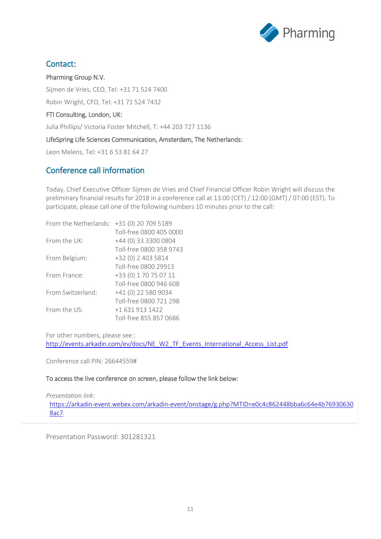

# Contact:

Pharming Group N.V. Sijmen de Vries, CEO, Tel: +31 71 524 7400 Robin Wright, CFO, Tel: +31 71 524 7432 FTI Consulting, London, UK:

Julia Phillips/ Victoria Foster Mitchell, T: +44 203 727 1136

#### LifeSpring Life Sciences Communication, Amsterdam, The Netherlands:

Leon Melens, Tel: +31 6 53 81 64 27

## Conference call information

Today, Chief Executive Officer Sijmen de Vries and Chief Financial Officer Robin Wright will discuss the preliminary financial results for 2018 in a conference call at 13.00 (CET) / 12:00 (GMT) / 07:00 (EST). To participate, please call one of the following numbers 10 minutes prior to the call:

| From the Netherlands: | +31 (0) 20 709 5189     |
|-----------------------|-------------------------|
|                       | Toll-free 0800 405 0000 |
| From the $UK:$        | +44 (0) 33 3300 0804    |
|                       | Toll-free 0800 358 9743 |
| From Belgium:         | +32 (0) 2 403 5814      |
|                       | Toll-free 0800 29913    |
| From France:          | +33 (0) 1 70 75 07 11   |
|                       | Toll-free 0800 946 608  |
| From Switzerland:     | +41 (0) 22 580 9034     |
|                       | Toll-free 0800 721 298  |
| From the $US^1$       | +1 631 913 1422         |
|                       | Toll-free 855 857 0686  |

For other numbers, please see :

[http://events.arkadin.com/ev/docs/NE\\_W2\\_TF\\_Events\\_International\\_Access\\_List.pdf](http://events.arkadin.com/ev/docs/NE_W2_TF_Events_International_Access_List.pdf)

Conference call PIN: 26644559#

#### To access the live conference on screen, please follow the link below:

*Presentation link:*  [https://arkadin-event.webex.com/arkadin-event/onstage/g.php?MTID=e0c4c862448bba6c64e4b76930630](https://arkadin-event.webex.com/arkadin-event/onstage/g.php?MTID=e0c4c862448bba6c64e4b769306308ac7) [8ac7](https://arkadin-event.webex.com/arkadin-event/onstage/g.php?MTID=e0c4c862448bba6c64e4b769306308ac7)*.*

Presentation Password: 301281321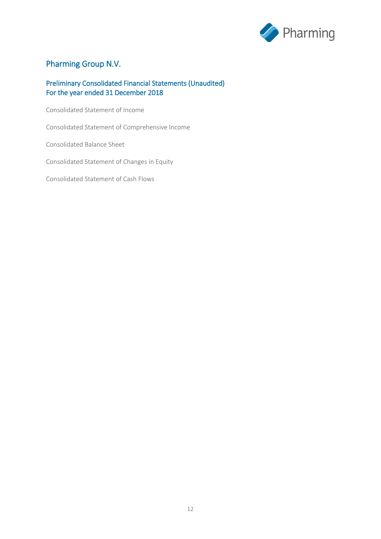

# Pharming Group N.V.

### Preliminary Consolidated Financial Statements (Unaudited) For the year ended 31 December 2018

Consolidated Statement of Income

Consolidated Statement of Comprehensive Income

Consolidated Balance Sheet

Consolidated Statement of Changes in Equity

Consolidated Statement of Cash Flows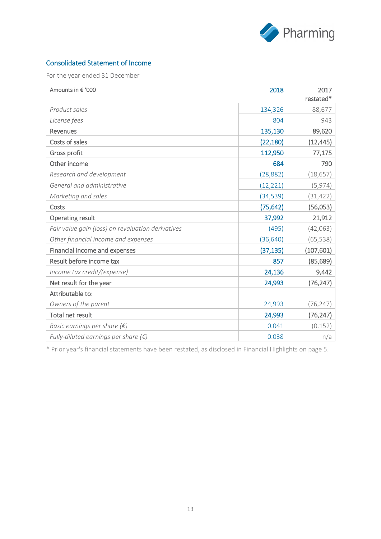

### Consolidated Statement of Income

For the year ended 31 December

| Amounts in € '000                                 | 2018      | 2017<br>restated* |
|---------------------------------------------------|-----------|-------------------|
| Product sales                                     | 134,326   | 88,677            |
| License fees                                      | 804       | 943               |
| <b>Revenues</b>                                   | 135,130   | 89,620            |
| Costs of sales                                    | (22, 180) | (12, 445)         |
| Gross profit                                      | 112,950   | 77,175            |
| Other income                                      | 684       | 790               |
| Research and development                          | (28, 882) | (18, 657)         |
| General and administrative                        | (12, 221) | (5, 974)          |
| Marketing and sales                               | (34, 539) | (31, 422)         |
| Costs                                             | (75, 642) | (56,053)          |
| <b>Operating result</b>                           | 37,992    | 21,912            |
| Fair value gain (loss) on revaluation derivatives | (495)     | (42,063)          |
| Other financial income and expenses               | (36, 640) | (65, 538)         |
| Financial income and expenses                     | (37, 135) | (107, 601)        |
| Result before income tax                          | 857       | (85, 689)         |
| Income tax credit/(expense)                       | 24,136    | 9,442             |
| Net result for the year                           | 24,993    | (76, 247)         |
| Attributable to:                                  |           |                   |
| Owners of the parent                              | 24,993    | (76, 247)         |
| Total net result                                  | 24,993    | (76, 247)         |
| Basic earnings per share $(\epsilon)$             | 0.041     | (0.152)           |
| Fully-diluted earnings per share $(\epsilon)$     | 0.038     | n/a               |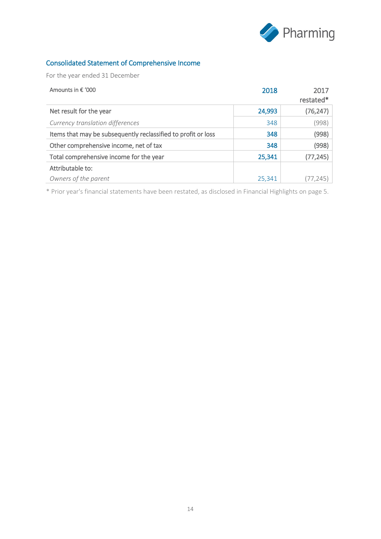

# Consolidated Statement of Comprehensive Income

For the year ended 31 December

| Amounts in € '000                                             | 2018   | 2017<br>restated* |
|---------------------------------------------------------------|--------|-------------------|
| Net result for the year                                       | 24,993 | (76, 247)         |
| Currency translation differences                              | 348    | (998)             |
| Items that may be subsequently reclassified to profit or loss | 348    | (998)             |
| Other comprehensive income, net of tax                        | 348    | (998)             |
| Total comprehensive income for the year                       | 25,341 | (77, 245)         |
| Attributable to:                                              |        |                   |
| Owners of the parent                                          | 25,341 |                   |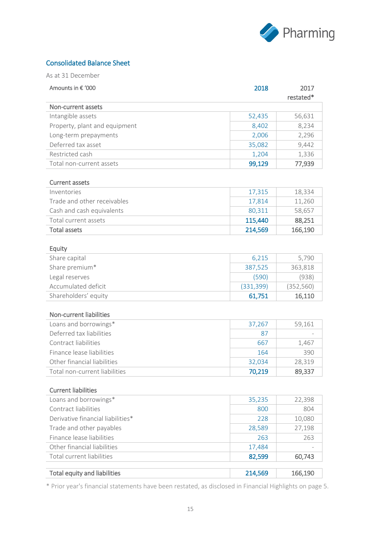

### Consolidated Balance Sheet

As at 31 December

| Amounts in € '000                   | 2018       | 2017       |
|-------------------------------------|------------|------------|
|                                     |            | restated*  |
| Non-current assets                  |            |            |
| Intangible assets                   | 52,435     | 56,631     |
| Property, plant and equipment       | 8,402      | 8,234      |
| Long-term prepayments               | 2,006      | 2,296      |
| Deferred tax asset                  | 35,082     | 9,442      |
| Restricted cash                     | 1,204      | 1,336      |
| Total non-current assets            | 99,129     | 77,939     |
| <b>Current assets</b>               |            |            |
| Inventories                         | 17,315     | 18,334     |
| Trade and other receivables         | 17,814     | 11,260     |
| Cash and cash equivalents           | 80,311     | 58,657     |
| Total current assets                | 115,440    | 88,251     |
| <b>Total assets</b>                 | 214,569    | 166,190    |
|                                     |            |            |
| Equity                              |            |            |
| Share capital                       | 6,215      | 5,790      |
| Share premium*                      | 387,525    | 363,818    |
| Legal reserves                      | (590)      | (938)      |
| Accumulated deficit                 | (331, 399) | (352, 560) |
| Shareholders' equity                | 61,751     | 16,110     |
|                                     |            |            |
| Non-current liabilities             |            |            |
| Loans and borrowings*               | 37,267     | 59,161     |
| Deferred tax liabilities            | 87         |            |
| Contract liabilities                | 667        | 1,467      |
| Finance lease liabilities           | 164        | 390        |
| Other financial liabilities         | 32,034     | 28,319     |
| Total non-current liabilities       | 70,219     | 89,337     |
|                                     |            |            |
| <b>Current liabilities</b>          |            |            |
| Loans and borrowings*               | 35,235     | 22,398     |
| Contract liabilities                | 800        | 804        |
| Derivative financial liabilities*   | 228        | 10,080     |
| Trade and other payables            | 28,589     | 27,198     |
| Finance lease liabilities           | 263        | 263        |
| Other financial liabilities         | 17,484     |            |
| Total current liabilities           | 82,599     | 60,743     |
|                                     |            |            |
| <b>Total equity and liabilities</b> | 214,569    | 166,190    |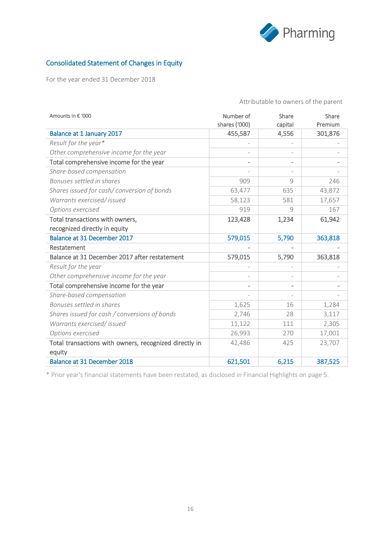

## Consolidated Statement of Changes in Equity

For the year ended 31 December 2018

| Amounts in € '000                                      | Number of<br>shares ('000) | Share<br>capital | Share<br>Premium |
|--------------------------------------------------------|----------------------------|------------------|------------------|
| <b>Balance at 1 January 2017</b>                       | 455,587                    | 4,556            | 301,876          |
| Result for the year*                                   |                            |                  |                  |
| Other comprehensive income for the year                |                            |                  |                  |
| Total comprehensive income for the year                | $\qquad \qquad -$          | $\blacksquare$   |                  |
| Share-based compensation                               |                            |                  |                  |
| Bonuses settled in shares                              | 909                        | $\circ$          | 246              |
| Shares issued for cash/conversion of bonds             | 63,477                     | 635              | 43,872           |
| Warrants exercised/ issued                             | 58,123                     | 581              | 17,657           |
| Options exercised                                      | 919                        | 9                | 167              |
| Total transactions with owners,                        | 123,428                    | 1,234            | 61,942           |
| recognized directly in equity                          |                            |                  |                  |
| Balance at 31 December 2017                            | 579,015                    | 5,790            | 363,818          |
| Restatement                                            |                            |                  |                  |
| Balance at 31 December 2017 after restatement          | 579,015                    | 5,790            | 363,818          |
| Result for the year                                    |                            |                  |                  |
| Other comprehensive income for the year                |                            |                  |                  |
| Total comprehensive income for the year                |                            |                  |                  |
| Share-based compensation                               |                            |                  |                  |
| Bonuses settled in shares                              | 1,625                      | 16               | 1,284            |
| Shares issued for cash / conversions of bonds          | 2,746                      | 28               | 3,117            |
| Warrants exercised/ issued                             | 11,122                     | 111              | 2,305            |
| Options exercised                                      | 26,993                     | 270              | 17,001           |
| Total transactions with owners, recognized directly in | 42,486                     | 425              | 23,707           |
| equity                                                 |                            |                  |                  |
| Balance at 31 December 2018                            | 621,501                    | 6,215            | 387,525          |

Attributable to owners of the parent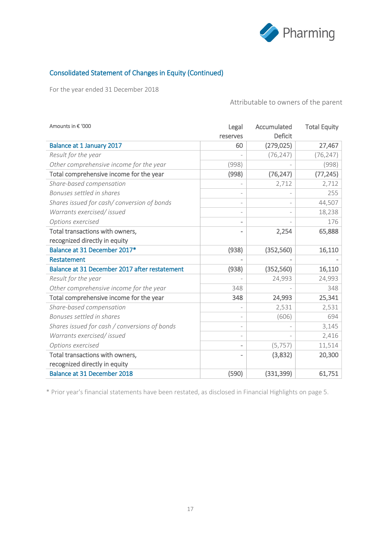

### Consolidated Statement of Changes in Equity (Continued)

For the year ended 31 December 2018

Attributable to owners of the parent

| Amounts in € '000                             | Legal<br>reserves        | Accumulated<br>Deficit | <b>Total Equity</b> |
|-----------------------------------------------|--------------------------|------------------------|---------------------|
| Balance at 1 January 2017                     | 60                       | (279, 025)             | 27,467              |
| Result for the year                           |                          | (76, 247)              | (76, 247)           |
| Other comprehensive income for the year       | (998)                    |                        | (998)               |
| Total comprehensive income for the year       | (998)                    | (76, 247)              | (77, 245)           |
| Share-based compensation                      |                          | 2,712                  | 2,712               |
| Bonuses settled in shares                     |                          |                        | 255                 |
| Shares issued for cash/conversion of bonds    |                          |                        | 44,507              |
| Warrants exercised/ issued                    |                          |                        | 18,238              |
| Options exercised                             |                          |                        | 176                 |
| Total transactions with owners,               |                          | 2,254                  | 65,888              |
| recognized directly in equity                 |                          |                        |                     |
| Balance at 31 December 2017*                  | (938)                    | (352, 560)             | 16,110              |
| Restatement                                   |                          |                        |                     |
| Balance at 31 December 2017 after restatement | (938)                    | (352, 560)             | 16,110              |
| Result for the year                           |                          | 24,993                 | 24,993              |
| Other comprehensive income for the year       | 348                      |                        | 348                 |
| Total comprehensive income for the year       | 348                      | 24,993                 | 25,341              |
| Share-based compensation                      | $\overline{\phantom{0}}$ | 2,531                  | 2,531               |
| Bonuses settled in shares                     |                          | (606)                  | 694                 |
| Shares issued for cash / conversions of bonds |                          |                        | 3,145               |
| Warrants exercised/ issued                    |                          |                        | 2,416               |
| Options exercised                             |                          | (5, 757)               | 11,514              |
| Total transactions with owners,               |                          | (3,832)                | 20,300              |
| recognized directly in equity                 |                          |                        |                     |
| <b>Balance at 31 December 2018</b>            | (590)                    | (331, 399)             | 61,751              |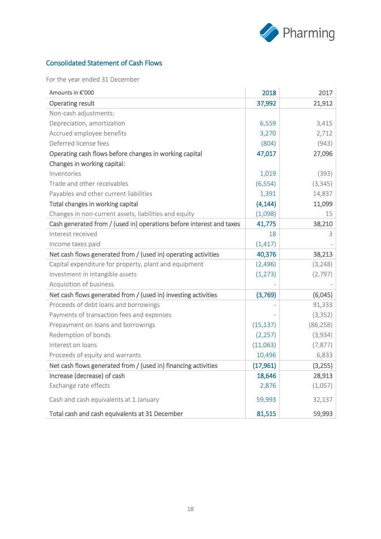

# Consolidated Statement of Cash Flows

For the year ended 31 December

| Amounts in €'000                                                     | 2018      | 2017      |
|----------------------------------------------------------------------|-----------|-----------|
| <b>Operating result</b>                                              | 37,992    | 21,912    |
| Non-cash adjustments:                                                |           |           |
| Depreciation, amortization                                           | 6,559     | 3,415     |
| Accrued employee benefits                                            | 3,270     | 2,712     |
| Deferred license fees                                                | (804)     | (943)     |
| Operating cash flows before changes in working capital               | 47,017    | 27,096    |
| Changes in working capital:                                          |           |           |
| Inventories                                                          | 1,019     | (393)     |
| Trade and other receivables                                          | (6, 554)  | (3, 345)  |
| Payables and other current liabilities                               | 1,391     | 14,837    |
| Total changes in working capital                                     | (4, 144)  | 11,099    |
| Changes in non-current assets, liabilities and equity                | (1,098)   | 15        |
| Cash generated from / (used in) operations before interest and taxes | 41,775    | 38,210    |
| Interest received                                                    | 18        | 3         |
| Income taxes paid                                                    | (1, 417)  |           |
| Net cash flows generated from / (used in) operating activities       | 40,376    | 38,213    |
| Capital expenditure for property, plant and equipment                | (2,496)   | (3, 248)  |
| Investment in intangible assets                                      | (1, 273)  | (2, 797)  |
| Acquisition of business                                              |           |           |
| Net cash flows generated from / (used in) investing activities       | (3,769)   | (6,045)   |
| Proceeds of debt loans and borrowings                                |           | 91,333    |
| Payments of transaction fees and expenses                            |           | (3, 352)  |
| Prepayment on loans and borrowings                                   | (15, 137) | (86, 258) |
| Redemption of bonds                                                  | (2, 257)  | (3,934)   |
| Interest on loans                                                    | (11,063)  | (7, 877)  |
| Proceeds of equity and warrants                                      | 10,496    | 6,833     |
| Net cash flows generated from / (used in) financing activities       | (17,961)  | (3,255)   |
| Increase (decrease) of cash                                          | 18,646    | 28,913    |
| Exchange rate effects                                                | 2,876     | (1,057)   |
| Cash and cash equivalents at 1 January                               | 59,993    | 32,137    |
| Total cash and cash equivalents at 31 December                       | 81,515    | 59,993    |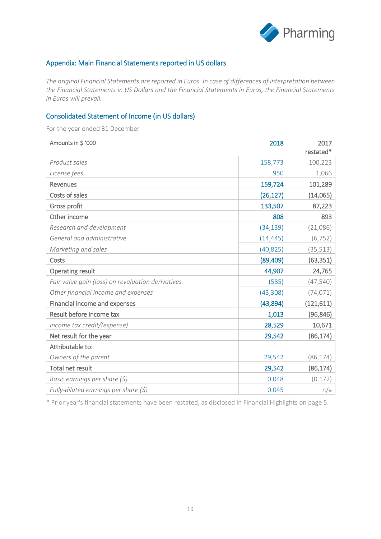

### Appendix: Main Financial Statements reported in US dollars

*The original Financial Statements are reported in Euros. In case of differences of interpretation between the Financial Statements in US Dollars and the Financial Statements in Euros, the Financial Statements in Euros will prevail.* 

### Consolidated Statement of Income (in US dollars)

For the year ended 31 December

| Amounts in \$ '000                                | 2018      | 2017       |
|---------------------------------------------------|-----------|------------|
|                                                   |           | restated*  |
| Product sales                                     | 158,773   | 100,223    |
| License fees                                      | 950       | 1,066      |
| <b>Revenues</b>                                   | 159,724   | 101,289    |
| Costs of sales                                    | (26, 127) | (14,065)   |
| Gross profit                                      | 133,507   | 87,223     |
| Other income                                      | 808       | 893        |
| Research and development                          | (34, 139) | (21,086)   |
| General and administrative                        | (14, 445) | (6, 752)   |
| Marketing and sales                               | (40, 825) | (35, 513)  |
| Costs                                             | (89, 409) | (63, 351)  |
| <b>Operating result</b>                           | 44,907    | 24,765     |
| Fair value gain (loss) on revaluation derivatives | (585)     | (47, 540)  |
| Other financial income and expenses               | (43, 308) | (74, 071)  |
| Financial income and expenses                     | (43,894)  | (121, 611) |
| Result before income tax                          | 1,013     | (96, 846)  |
| Income tax credit/(expense)                       | 28,529    | 10,671     |
| Net result for the year                           | 29,542    | (86, 174)  |
| Attributable to:                                  |           |            |
| Owners of the parent                              | 29,542    | (86, 174)  |
| Total net result                                  | 29,542    | (86, 174)  |
| Basic earnings per share $(5)$                    | 0.048     | (0.172)    |
| Fully-diluted earnings per share $(\xi)$          | 0.045     | n/a        |